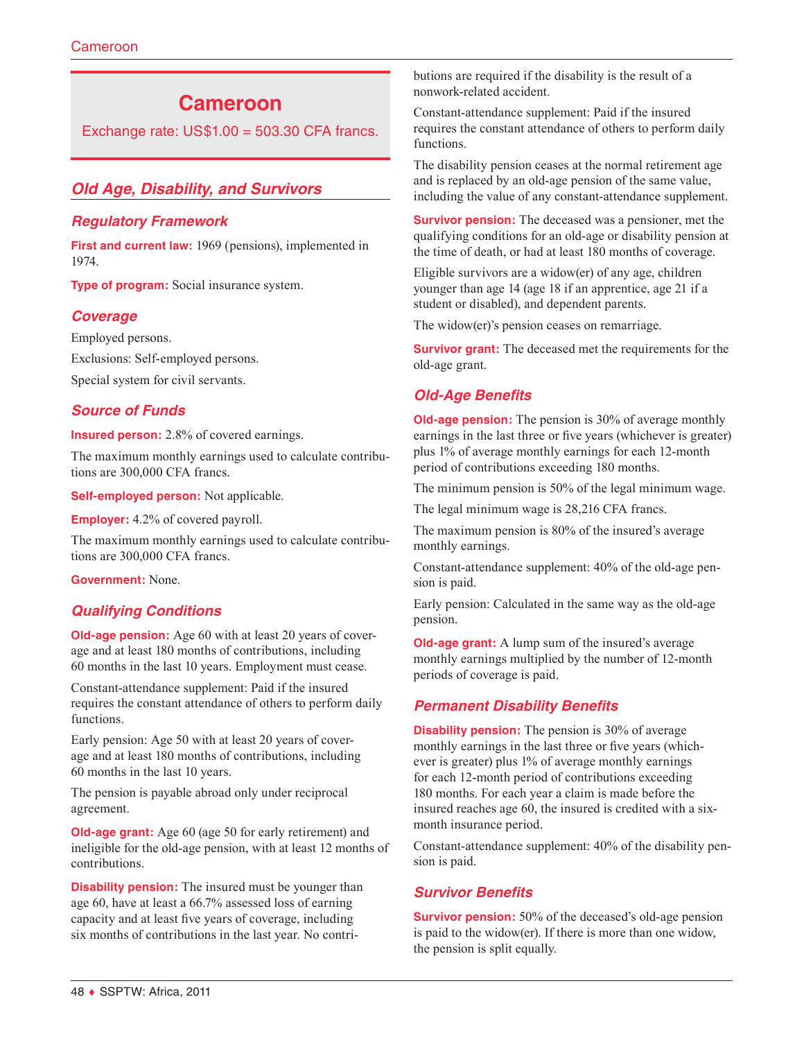# **Cameroon**

Exchange rate:  $US$1.00 = 503.30$  CFA francs.

## *Old Age, Disability, and Survivors*

### *Regulatory Framework*

**First and current law:** 1969 (pensions), implemented in 1974.

**Type of program:** Social insurance system.

### *Coverage*

Employed persons.

Exclusions: Self-employed persons.

Special system for civil servants.

### *Source of Funds*

**Insured person:** 2.8% of covered earnings.

The maximum monthly earnings used to calculate contributions are 300,000 CFA francs.

**Self-employed person:** Not applicable.

**Employer:** 4.2% of covered payroll.

The maximum monthly earnings used to calculate contributions are 300,000 CFA francs.

**Government:** None.

## *Qualifying Conditions*

**Old-age pension:** Age 60 with at least 20 years of coverage and at least 180 months of contributions, including 60 months in the last 10 years. Employment must cease.

Constant-attendance supplement: Paid if the insured requires the constant attendance of others to perform daily functions.

Early pension: Age 50 with at least 20 years of coverage and at least 180 months of contributions, including 60 months in the last 10 years.

The pension is payable abroad only under reciprocal agreement.

**Old-age grant:** Age 60 (age 50 for early retirement) and ineligible for the old-age pension, with at least 12 months of contributions.

**Disability pension:** The insured must be younger than age 60, have at least a 66.7% assessed loss of earning capacity and at least five years of coverage, including six months of contributions in the last year. No contributions are required if the disability is the result of a nonwork-related accident.

Constant-attendance supplement: Paid if the insured requires the constant attendance of others to perform daily functions.

The disability pension ceases at the normal retirement age and is replaced by an old-age pension of the same value, including the value of any constant-attendance supplement.

**Survivor pension:** The deceased was a pensioner, met the qualifying conditions for an old-age or disability pension at the time of death, or had at least 180 months of coverage.

Eligible survivors are a widow(er) of any age, children younger than age 14 (age 18 if an apprentice, age 21 if a student or disabled), and dependent parents.

The widow(er)'s pension ceases on remarriage.

**Survivor grant:** The deceased met the requirements for the old-age grant.

## *Old-Age Benefits*

**Old-age pension:** The pension is 30% of average monthly earnings in the last three or five years (whichever is greater) plus 1% of average monthly earnings for each 12-month period of contributions exceeding 180 months.

The minimum pension is 50% of the legal minimum wage.

The legal minimum wage is 28,216 CFA francs.

The maximum pension is 80% of the insured's average monthly earnings.

Constant-attendance supplement: 40% of the old-age pension is paid.

Early pension: Calculated in the same way as the old-age pension.

**Old-age grant:** A lump sum of the insured's average monthly earnings multiplied by the number of 12-month periods of coverage is paid.

### *Permanent Disability Benefits*

**Disability pension:** The pension is 30% of average monthly earnings in the last three or five years (whichever is greater) plus 1% of average monthly earnings for each 12-month period of contributions exceeding 180 months. For each year a claim is made before the insured reaches age 60, the insured is credited with a sixmonth insurance period.

Constant-attendance supplement: 40% of the disability pension is paid.

## *Survivor Benefits*

**Survivor pension:** 50% of the deceased's old-age pension is paid to the widow(er). If there is more than one widow, the pension is split equally.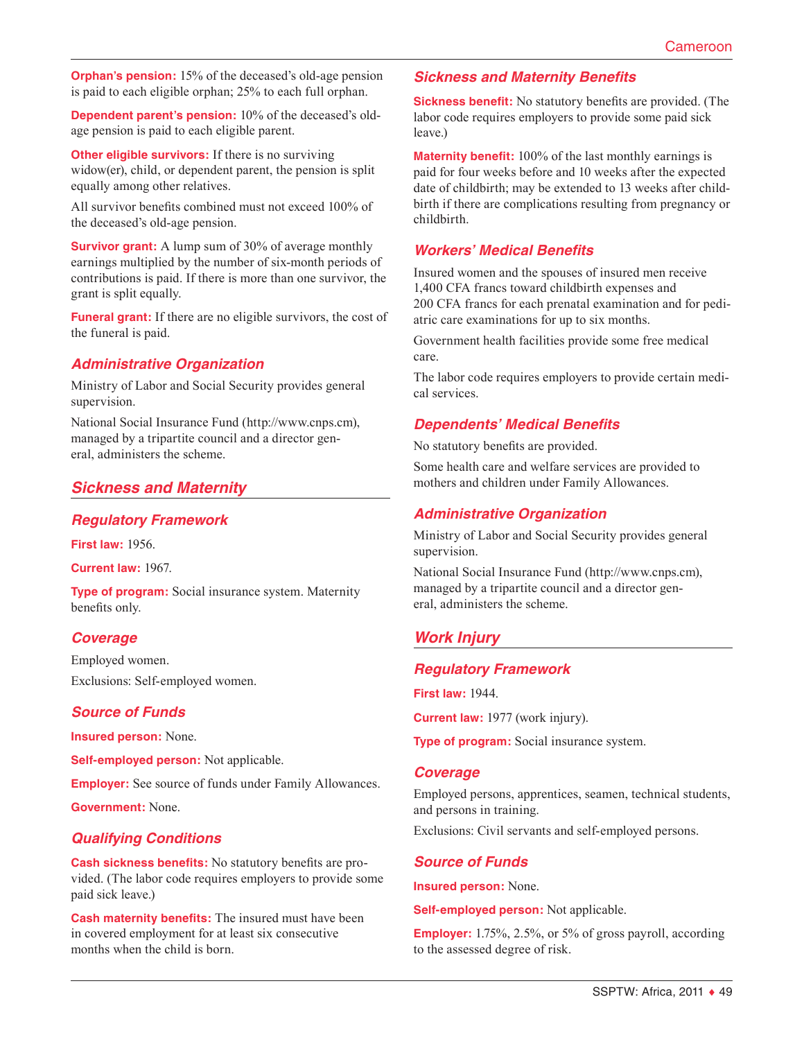**Orphan's pension:** 15% of the deceased's old-age pension is paid to each eligible orphan; 25% to each full orphan.

**Dependent parent's pension:** 10% of the deceased's oldage pension is paid to each eligible parent.

**Other eligible survivors:** If there is no surviving widow(er), child, or dependent parent, the pension is split equally among other relatives.

All survivor benefits combined must not exceed 100% of the deceased's old-age pension.

**Survivor grant:** A lump sum of 30% of average monthly earnings multiplied by the number of six-month periods of contributions is paid. If there is more than one survivor, the grant is split equally.

**Funeral grant:** If there are no eligible survivors, the cost of the funeral is paid.

### *Administrative Organization*

Ministry of Labor and Social Security provides general supervision.

National Social Insurance Fund ([http://www.cnps.cm\)](http://www.cnps.cm), managed by a tripartite council and a director general, administers the scheme.

## *Sickness and Maternity*

### *Regulatory Framework*

**First law:** 1956.

**Current law:** 1967.

**Type of program:** Social insurance system. Maternity benefits only.

### *Coverage*

Employed women. Exclusions: Self-employed women.

### *Source of Funds*

**Insured person:** None.

**Self-employed person:** Not applicable.

**Employer:** See source of funds under Family Allowances.

**Government:** None.

## *Qualifying Conditions*

**Cash sickness benefits:** No statutory benefits are provided. (The labor code requires employers to provide some paid sick leave.)

**Cash maternity benefits:** The insured must have been in covered employment for at least six consecutive months when the child is born.

### *Sickness and Maternity Benefits*

**Sickness benefit:** No statutory benefits are provided. (The labor code requires employers to provide some paid sick leave.)

**Maternity benefit:** 100% of the last monthly earnings is paid for four weeks before and 10 weeks after the expected date of childbirth; may be extended to 13 weeks after childbirth if there are complications resulting from pregnancy or childbirth.

### *Workers' Medical Benefits*

Insured women and the spouses of insured men receive 1,400 CFA francs toward childbirth expenses and 200 CFA francs for each prenatal examination and for pediatric care examinations for up to six months.

Government health facilities provide some free medical care.

The labor code requires employers to provide certain medical services.

### *Dependents' Medical Benefits*

No statutory benefits are provided.

Some health care and welfare services are provided to mothers and children under Family Allowances.

### *Administrative Organization*

Ministry of Labor and Social Security provides general supervision.

National Social Insurance Fund ([http://www.cnps.cm\)](http://www.cnps.cm), managed by a tripartite council and a director general, administers the scheme.

## *Work Injury*

### *Regulatory Framework*

**First law:** 1944.

**Current law:** 1977 (work injury).

**Type of program:** Social insurance system.

#### *Coverage*

Employed persons, apprentices, seamen, technical students, and persons in training.

Exclusions: Civil servants and self-employed persons.

#### *Source of Funds*

**Insured person:** None.

**Self-employed person:** Not applicable.

**Employer:** 1.75%, 2.5%, or 5% of gross payroll, according to the assessed degree of risk.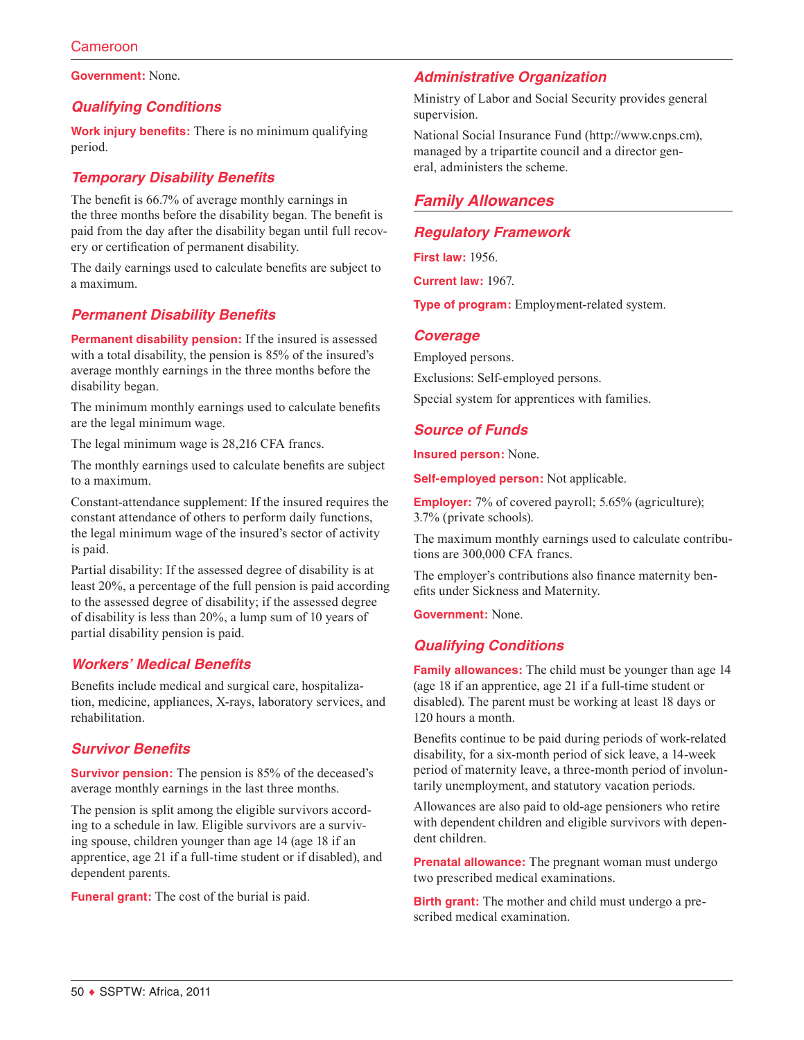**Government:** None.

## *Qualifying Conditions*

**Work injury benefits:** There is no minimum qualifying period.

## *Temporary Disability Benefits*

The benefit is 66.7% of average monthly earnings in the three months before the disability began. The benefit is paid from the day after the disability began until full recovery or certification of permanent disability.

The daily earnings used to calculate benefits are subject to a maximum.

## *Permanent Disability Benefits*

**Permanent disability pension:** If the insured is assessed with a total disability, the pension is 85% of the insured's average monthly earnings in the three months before the disability began.

The minimum monthly earnings used to calculate benefits are the legal minimum wage.

The legal minimum wage is 28,216 CFA francs.

The monthly earnings used to calculate benefits are subject to a maximum.

Constant-attendance supplement: If the insured requires the constant attendance of others to perform daily functions, the legal minimum wage of the insured's sector of activity is paid.

Partial disability: If the assessed degree of disability is at least 20%, a percentage of the full pension is paid according to the assessed degree of disability; if the assessed degree of disability is less than 20%, a lump sum of 10 years of partial disability pension is paid.

## *Workers' Medical Benefits*

Benefits include medical and surgical care, hospitalization, medicine, appliances, X-rays, laboratory services, and rehabilitation.

## *Survivor Benefits*

**Survivor pension:** The pension is 85% of the deceased's average monthly earnings in the last three months.

The pension is split among the eligible survivors according to a schedule in law. Eligible survivors are a surviving spouse, children younger than age 14 (age 18 if an apprentice, age 21 if a full-time student or if disabled), and dependent parents.

**Funeral grant:** The cost of the burial is paid.

## *Administrative Organization*

Ministry of Labor and Social Security provides general supervision.

National Social Insurance Fund ([http://www.cnps.cm\)](http://www.cnps.cm), managed by a tripartite council and a director general, administers the scheme.

## *Family Allowances*

### *Regulatory Framework*

**First law:** 1956.

**Current law:** 1967.

**Type of program:** Employment-related system.

### *Coverage*

Employed persons.

Exclusions: Self-employed persons.

Special system for apprentices with families.

## *Source of Funds*

**Insured person:** None.

**Self-employed person:** Not applicable.

**Employer:** 7% of covered payroll; 5.65% (agriculture); 3.7% (private schools).

The maximum monthly earnings used to calculate contributions are 300,000 CFA francs.

The employer's contributions also finance maternity benefits under Sickness and Maternity.

**Government:** None.

## *Qualifying Conditions*

**Family allowances:** The child must be younger than age 14 (age 18 if an apprentice, age 21 if a full-time student or disabled). The parent must be working at least 18 days or 120 hours a month.

Benefits continue to be paid during periods of work-related disability, for a six-month period of sick leave, a 14-week period of maternity leave, a three-month period of involuntarily unemployment, and statutory vacation periods.

Allowances are also paid to old-age pensioners who retire with dependent children and eligible survivors with dependent children.

**Prenatal allowance:** The pregnant woman must undergo two prescribed medical examinations.

**Birth grant:** The mother and child must undergo a prescribed medical examination.